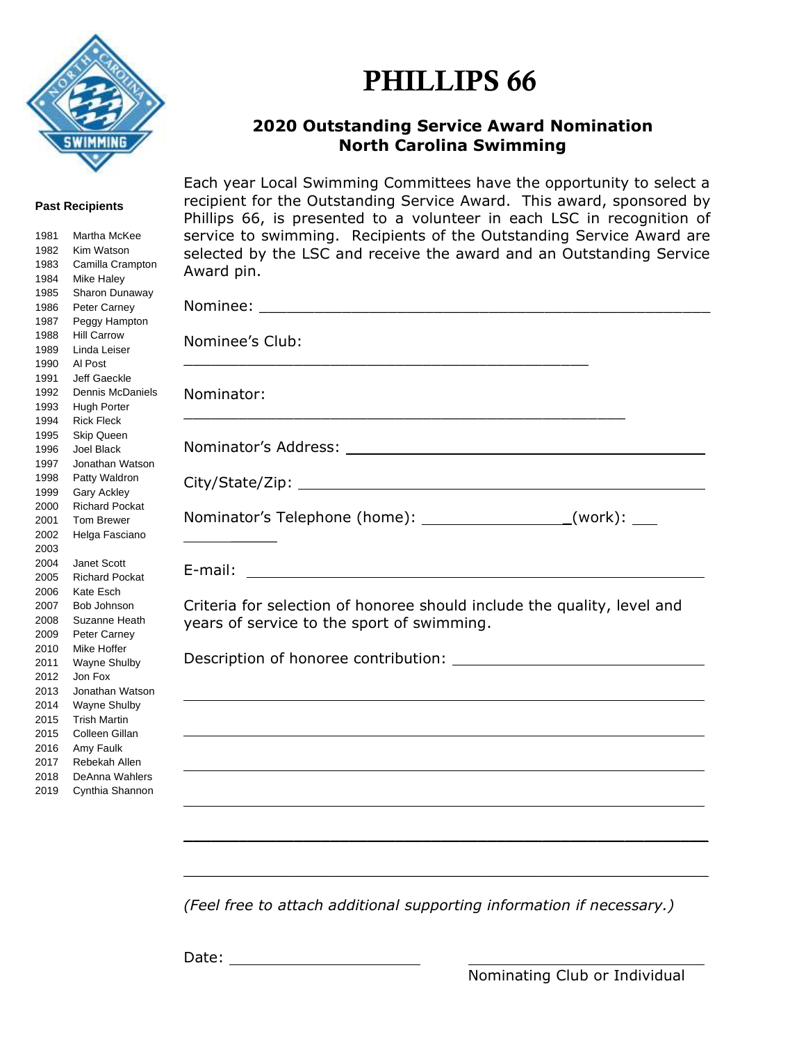

## PHILLIPS 66

## **Outstanding Service Award Nomination North Carolina Swimming**

## **Past Recipients**

| Martha McKee                      |
|-----------------------------------|
| Kim Watson                        |
| Camilla Crampton                  |
| Mike Haley                        |
| Sharon Dunaway                    |
| Peter Carney                      |
| Peggy Hampton                     |
| <b>Hill Carrow</b>                |
| Linda Leiser                      |
| Al Post                           |
| Jeff Gaeckle                      |
| <b>Dennis McDaniels</b>           |
| <b>Hugh Porter</b>                |
| <b>Rick Fleck</b>                 |
| <b>Skip Queen</b>                 |
| <b>Joel Black</b>                 |
| Jonathan Watson                   |
| Patty Waldron                     |
| <b>Gary Ackley</b>                |
| <b>Richard Pockat</b>             |
| <b>Tom Brewer</b>                 |
| Helga Fasciano                    |
|                                   |
| <b>Janet Scott</b>                |
| <b>Richard Pockat</b>             |
| Kate Esch                         |
| Bob Johnson                       |
| Suzanne Heath                     |
| Peter Carney                      |
| Mike Hoffer                       |
| <b>Wayne Shulby</b>               |
| Jon Fox                           |
| Jonathan Watson                   |
| <b>Wayne Shulby</b>               |
| <b>Trish Martin</b>               |
| Colleen Gillan                    |
| Amy Faulk                         |
| Rebekah Allen                     |
|                                   |
| DeAnna Wahlers<br>Cynthia Shannon |
|                                   |

Each year Local Swimming Committees have the opportunity to select a recipient for the Outstanding Service Award. This award, sponsored by Phillips 66, is presented to a volunteer in each LSC in recognition of service to swimming. Recipients of the Outstanding Service Award are selected by the LSC and receive the award and an Outstanding Service Award pin.

| Nominee's Club: |                                                                                                                       |                                                                                                                  |
|-----------------|-----------------------------------------------------------------------------------------------------------------------|------------------------------------------------------------------------------------------------------------------|
| Nominator:      |                                                                                                                       |                                                                                                                  |
|                 |                                                                                                                       |                                                                                                                  |
|                 |                                                                                                                       |                                                                                                                  |
|                 | Nominator's Telephone (home): ___________________(work): ____                                                         |                                                                                                                  |
|                 |                                                                                                                       |                                                                                                                  |
|                 | Criteria for selection of honoree should include the quality, level and<br>years of service to the sport of swimming. |                                                                                                                  |
|                 |                                                                                                                       |                                                                                                                  |
|                 |                                                                                                                       |                                                                                                                  |
|                 |                                                                                                                       |                                                                                                                  |
|                 |                                                                                                                       | <u> 1989 - Johann Stoff, amerikansk politiker (d. 1989)</u>                                                      |
|                 |                                                                                                                       | and the control of the control of the control of the control of the control of the control of the control of the |
|                 |                                                                                                                       |                                                                                                                  |
|                 |                                                                                                                       |                                                                                                                  |

*(Feel free to attach additional supporting information if necessary.)*

 $\mathcal{L}_\text{max} = \mathcal{L}_\text{max} = \mathcal{L}_\text{max} = \mathcal{L}_\text{max} = \mathcal{L}_\text{max} = \mathcal{L}_\text{max} = \mathcal{L}_\text{max} = \mathcal{L}_\text{max} = \mathcal{L}_\text{max} = \mathcal{L}_\text{max} = \mathcal{L}_\text{max} = \mathcal{L}_\text{max} = \mathcal{L}_\text{max} = \mathcal{L}_\text{max} = \mathcal{L}_\text{max} = \mathcal{L}_\text{max} = \mathcal{L}_\text{max} = \mathcal{L}_\text{max} = \mathcal{$ 

Date: